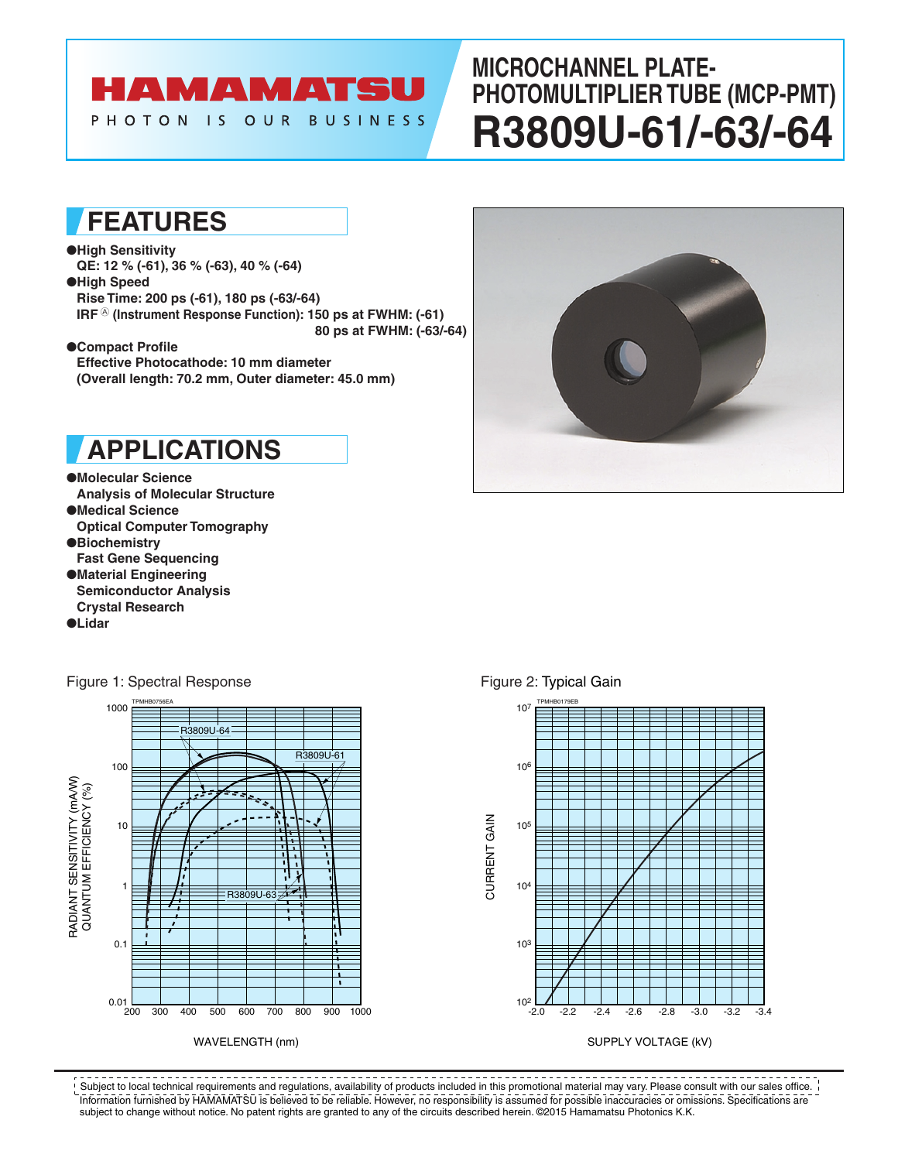# HAMAMATSU

PHOTON IS OUR **BUSINESS** 

# **MICROCHANNEL PLATE-PHOTOMULTIPLIER TUBE (MCP-PMT) R3809U-61/-63/-64**

### **FEATURES**

- ●**High Sensitivity QE: 12 % (-61), 36 % (-63), 40 % (-64)** ●**High Speed Rise Time: 200 ps (-61), 180 ps (-63/-64) IRF** <sup> $\circ$ </sup> (Instrument Response Function): 150 ps at FWHM: (-61)  **80 ps at FWHM: (-63/-64)**
- ●**Compact Profile Effective Photocathode: 10 mm diameter (Overall length: 70.2 mm, Outer diameter: 45.0 mm)**

# **APPLICATIONS**

- ●**Molecular Science Analysis of Molecular Structure**
- ●**Medical Science**
- **Optical Computer Tomography**
- ●**Biochemistry**
- **Fast Gene Sequencing**
- ●**Material Engineering Semiconductor Analysis**

Figure 1: Spectral Response

- **Crystal Research**
- ●**Lidar**



WAVELENGTH (nm)



### Figure 2: Typical Gain



\_\_\_\_\_\_\_\_\_\_\_\_ \_\_\_\_\_\_\_\_\_\_\_\_\_\_\_\_\_\_\_\_\_\_\_ Subject to local technical requirements and regulations, availability of products included in this promotional material may vary. Please consult with our sales office. Information furnished by HAMAMATSU is believed to be reliable. However, no responsibility is assumed for possible inaccuracies or omissions. Specifications are subject to change without notice. No patent rights are granted to any of the circuits described herein. ©2015 Hamamatsu Photonics K.K.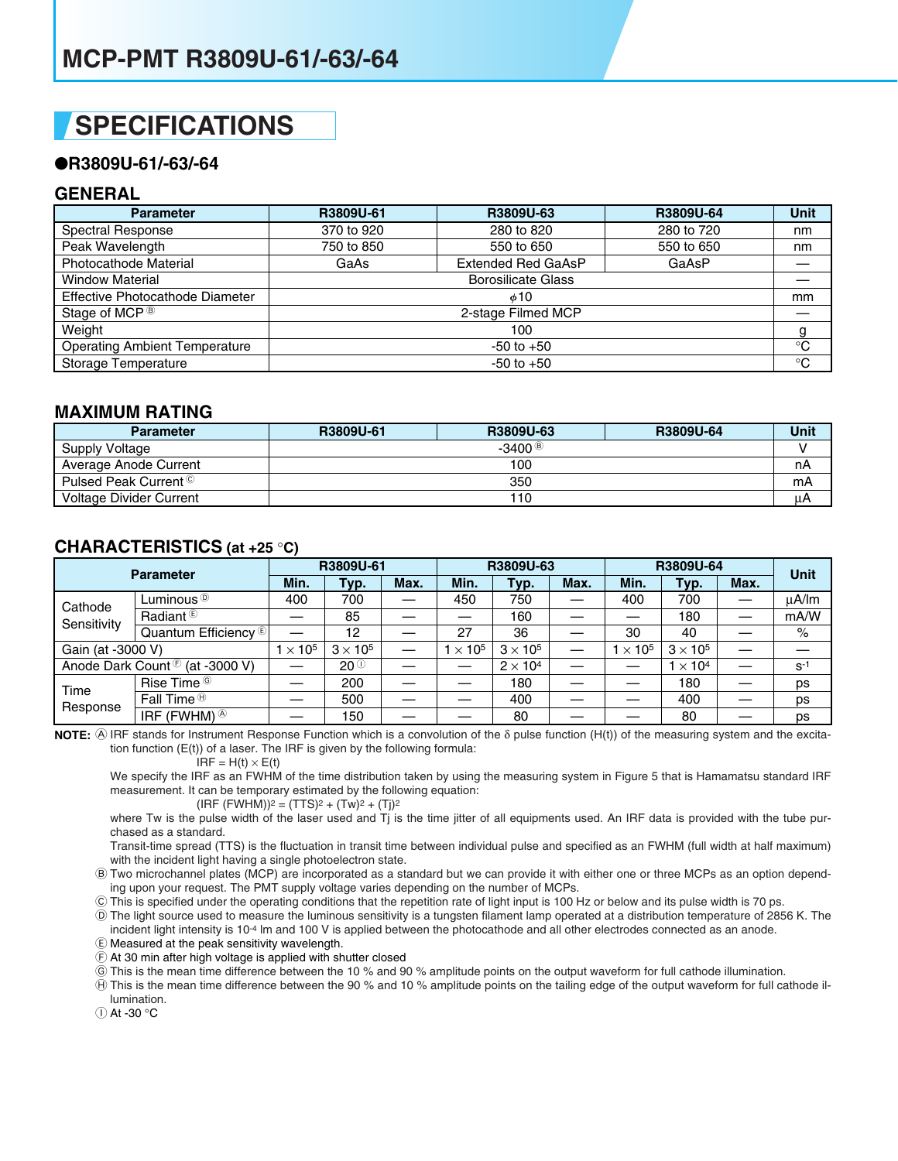# **SPECIFICATIONS**

### ●**R3809U-61/-63/-64**

### **GENERAL**

| <b>Parameter</b>                     | R3809U-61<br>R3809U-63                 |  | R3809U-64  | <b>Unit</b> |  |  |
|--------------------------------------|----------------------------------------|--|------------|-------------|--|--|
| <b>Spectral Response</b>             | 280 to 820<br>370 to 920<br>280 to 720 |  |            | nm          |  |  |
| Peak Wavelength                      | 750 to 850<br>550 to 650               |  | 550 to 650 | nm          |  |  |
| Photocathode Material                | <b>Extended Red GaAsP</b><br>GaAs      |  | GaAsP      |             |  |  |
| <b>Window Material</b>               | <b>Borosilicate Glass</b>              |  |            |             |  |  |
| Effective Photocathode Diameter      | $\phi$ 10<br>mm                        |  |            |             |  |  |
| Stage of MCP <sup>®</sup>            | 2-stage Filmed MCP                     |  |            |             |  |  |
| Weight                               | 100                                    |  |            |             |  |  |
| <b>Operating Ambient Temperature</b> | $^{\circ}C$<br>$-50$ to $+50$          |  |            |             |  |  |
| Storage Temperature                  | $^\circ \text{C}$<br>$-50$ to $+50$    |  |            |             |  |  |

### **MAXIMUM RATING**

| <b>Parameter</b>                 | R3809U-61 | R3809U-63 | R3809U-64 | Unit |  |
|----------------------------------|-----------|-----------|-----------|------|--|
| <b>Supply Voltage</b>            | -3400 ®   |           |           |      |  |
| Average Anode Current            | 100<br>nA |           |           |      |  |
| Pulsed Peak Current <sup>©</sup> | 350<br>mΑ |           |           |      |  |
| Voltage Divider Current          | 110<br>цA |           |           |      |  |

### **CHARACTERISTICS (at +25** °**C)**

| <b>Parameter</b>  |                                            | R3809U-61                |                 | R3809U-63 |                 | R3809U-64       |      | <b>Unit</b>              |                 |      |       |
|-------------------|--------------------------------------------|--------------------------|-----------------|-----------|-----------------|-----------------|------|--------------------------|-----------------|------|-------|
|                   |                                            | Min.                     | Typ.            | Max.      | Min.            | Typ.            | Max. | Min.                     | Typ.            | Max. |       |
| Cathode           | Luminous <sup><sup>®</sup></sup>           | 400                      | 700             |           | 450             | 750             |      | 400                      | 700             |      | μA/lm |
| Sensitivity       | Radiant <sup>®</sup>                       |                          | 85              |           |                 | 160             |      |                          | 180             |      | mA/W  |
|                   | Quantum Efficiency <sup>®</sup>            |                          | 12              |           | 27              | 36              |      | 30                       | 40              |      | $\%$  |
| Gain (at -3000 V) |                                            | $\times$ 10 <sup>5</sup> | $3 \times 10^5$ |           | $1 \times 10^5$ | $3 \times 10^5$ |      | $\times$ 10 <sup>5</sup> | $3 \times 10^5$ |      |       |
|                   | Anode Dark Count <sup>®</sup> (at -3000 V) |                          | $20^{\circ}$    |           |                 | $2 \times 10^4$ |      |                          | $1 \times 10^4$ |      | $S-1$ |
| Time<br>Response  | Rise Time <sup>©</sup>                     |                          | 200             |           |                 | 180             |      |                          | 180             |      | ps    |
|                   | Fall Time $\Theta$                         |                          | 500             |           |                 | 400             |      |                          | 400             |      | ps    |
|                   | IRF (FWHM) $\circledcirc$                  |                          | 150             |           |                 | 80              |      |                          | 80              |      | ps    |

**NOTE:**  $\oslash$  IRF stands for Instrument Response Function which is a convolution of the δ pulse function (H(t)) of the measuring system and the excitation function (E(t)) of a laser. The IRF is given by the following formula:

 $IRF = H(t) \times E(t)$ 

We specify the IRF as an FWHM of the time distribution taken by using the measuring system in Figure 5 that is Hamamatsu standard IRF measurement. It can be temporary estimated by the following equation:

 $(IRF (FWHM))^{2} = (TTS)^{2} + (Tw)^{2} + (Tj)^{2}$ 

where Tw is the pulse width of the laser used and Ti is the time jitter of all equipments used. An IRF data is provided with the tube purchased as a standard.

Transit-time spread (TTS) is the fluctuation in transit time between individual pulse and specified as an FWHM (full width at half maximum) with the incident light having a single photoelectron state.

B Two microchannel plates (MCP) are incorporated as a standard but we can provide it with either one or three MCPs as an option depending upon your request. The PMT supply voltage varies depending on the number of MCPs.

C This is specified under the operating conditions that the repetition rate of light input is 100 Hz or below and its pulse width is 70 ps.

D The light source used to measure the luminous sensitivity is a tungsten filament lamp operated at a distribution temperature of 2856 K. The incident light intensity is 10<sup>-4</sup> lm and 100 V is applied between the photocathode and all other electrodes connected as an anode.

E Measured at the peak sensitivity wavelength.

 $E$  At 30 min after high voltage is applied with shutter closed

G This is the mean time difference between the 10 % and 90 % amplitude points on the output waveform for full cathode illumination.

 $\oplus$  This is the mean time difference between the 90 % and 10 % amplitude points on the tailing edge of the output waveform for full cathode illumination.

 $\odot$  At -30  $^{\circ}$ C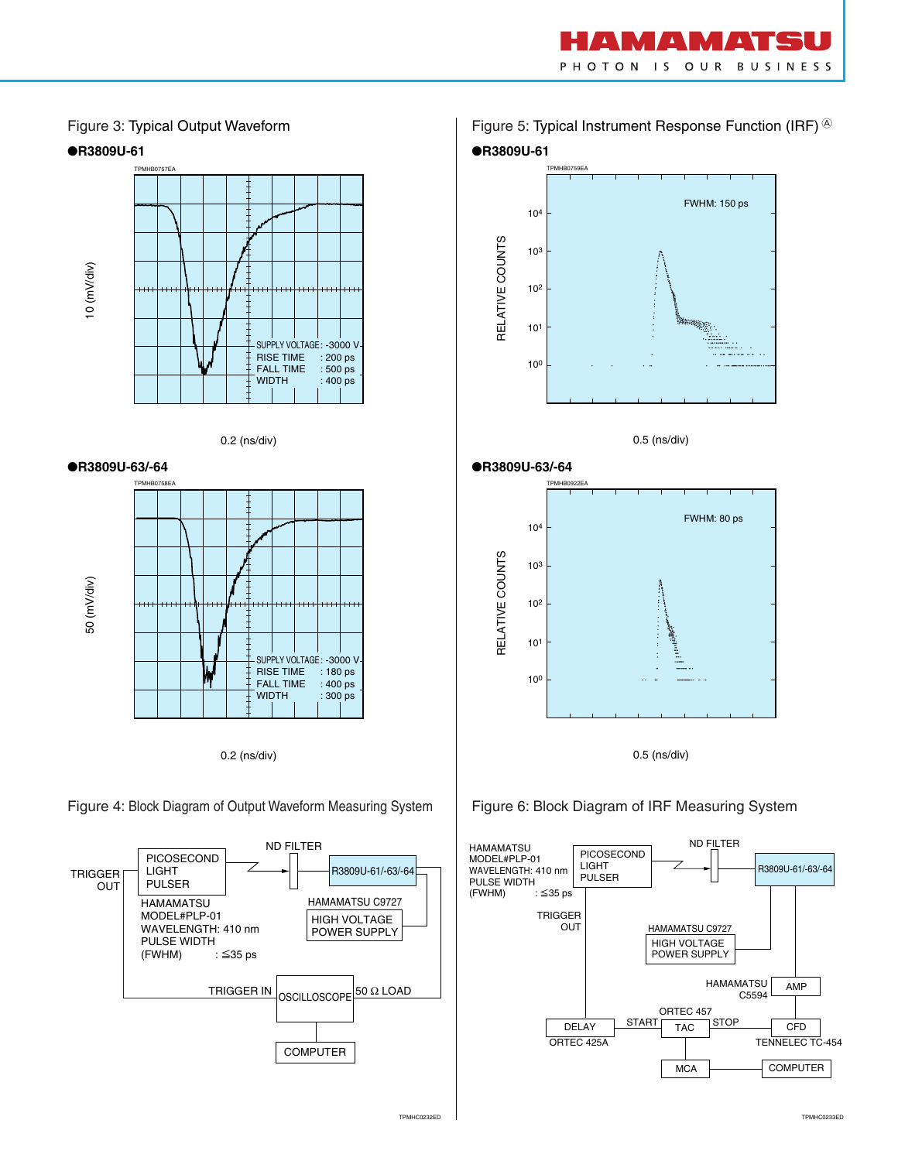

### Figure 3: Typical Output Waveform ●**R3809U-61**



#### 0.2 (ns/div)





0.2 (ns/div)





Figure 5: Typical Instrument Response Function (IRF)  $\&$ ●**R3809U-61**







# Figure 6: Block Diagram of IRF Measuring System



TPMHC0232ED